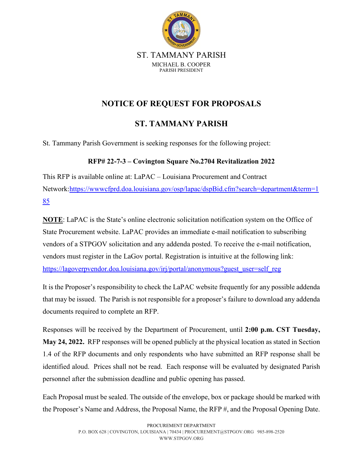

### **NOTICE OF REQUEST FOR PROPOSALS**

### **ST. TAMMANY PARISH**

St. Tammany Parish Government is seeking responses for the following project:

### **RFP# 22-7-3 – Covington Square No.2704 Revitalization 2022**

This RFP is available online at: LaPAC – Louisiana Procurement and Contract Network[:https://wwwcfprd.doa.louisiana.gov/osp/lapac/dspBid.cfm?search=department&term=1](https://wwwcfprd.doa.louisiana.gov/osp/lapac/dspBid.cfm?search=department&term=185) [85](https://wwwcfprd.doa.louisiana.gov/osp/lapac/dspBid.cfm?search=department&term=185)

**NOTE**: LaPAC is the State's online electronic solicitation notification system on the Office of State Procurement website. LaPAC provides an immediate e-mail notification to subscribing vendors of a STPGOV solicitation and any addenda posted. To receive the e-mail notification, vendors must register in the LaGov portal. Registration is intuitive at the following link: [https://lagoverpvendor.doa.louisiana.gov/irj/portal/anonymous?guest\\_user=self\\_reg](https://lagoverpvendor.doa.louisiana.gov/irj/portal/anonymous?guest_user=self_reg)

It is the Proposer's responsibility to check the LaPAC website frequently for any possible addenda that may be issued. The Parish is not responsible for a proposer's failure to download any addenda documents required to complete an RFP.

Responses will be received by the Department of Procurement, until **2:00 p.m. CST Tuesday, May 24, 2022.** RFP responses will be opened publicly at the physical location as stated in Section 1.4 of the RFP documents and only respondents who have submitted an RFP response shall be identified aloud. Prices shall not be read. Each response will be evaluated by designated Parish personnel after the submission deadline and public opening has passed.

Each Proposal must be sealed. The outside of the envelope, box or package should be marked with the Proposer's Name and Address, the Proposal Name, the RFP #, and the Proposal Opening Date.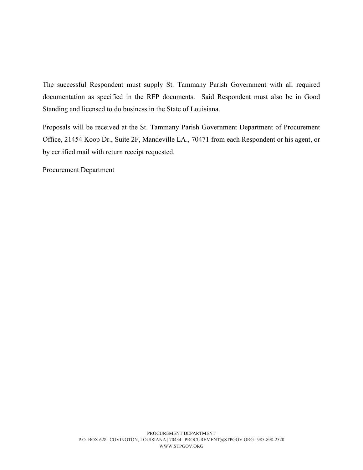The successful Respondent must supply St. Tammany Parish Government with all required documentation as specified in the RFP documents. Said Respondent must also be in Good Standing and licensed to do business in the State of Louisiana.

Proposals will be received at the St. Tammany Parish Government Department of Procurement Office, 21454 Koop Dr., Suite 2F, Mandeville LA., 70471 from each Respondent or his agent, or by certified mail with return receipt requested.

Procurement Department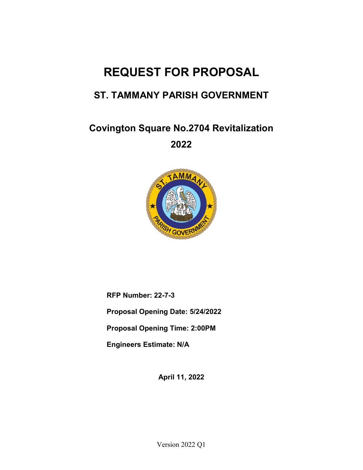# **REQUEST FOR PROPOSAL**

# **ST. TAMMANY PARISH GOVERNMENT**

**Covington Square No.2704 Revitalization** 

**2022** 



**RFP Number: 22-7-3** 

**Proposal Opening Date: 5/24/2022**

**Proposal Opening Time: 2:00PM**

**Engineers Estimate: N/A**

**April 11, 2022**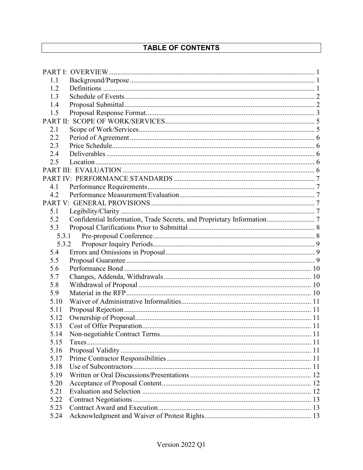### TABLE OF CONTENTS

| 1.1   |                                                                        |  |
|-------|------------------------------------------------------------------------|--|
| 1.2   |                                                                        |  |
| 1.3   |                                                                        |  |
| 1.4   |                                                                        |  |
| 1.5   |                                                                        |  |
|       |                                                                        |  |
| 2.1   |                                                                        |  |
| 2.2   |                                                                        |  |
| 2.3   |                                                                        |  |
| 2.4   |                                                                        |  |
| 2.5   |                                                                        |  |
|       |                                                                        |  |
|       |                                                                        |  |
| 4.1   |                                                                        |  |
| 4.2   |                                                                        |  |
|       |                                                                        |  |
| 5.1   |                                                                        |  |
| 5.2   | Confidential Information, Trade Secrets, and Proprietary Information 7 |  |
| 5.3   |                                                                        |  |
| 5.3.1 |                                                                        |  |
| 5.3.2 |                                                                        |  |
| 5.4   |                                                                        |  |
| 5.5   |                                                                        |  |
| 5.6   |                                                                        |  |
| 5.7   |                                                                        |  |
| 5.8   |                                                                        |  |
| 5.9   |                                                                        |  |
| 5.10  |                                                                        |  |
| 5.11  |                                                                        |  |
| 5.12  |                                                                        |  |
| 5.13  |                                                                        |  |
| 5.14  |                                                                        |  |
| 5.15  |                                                                        |  |
| 5.16  |                                                                        |  |
| 5.17  |                                                                        |  |
| 5.18  |                                                                        |  |
| 5.19  |                                                                        |  |
| 5.20  |                                                                        |  |
| 5.21  |                                                                        |  |
| 5.22  |                                                                        |  |
| 5.23  |                                                                        |  |
| 5.24  |                                                                        |  |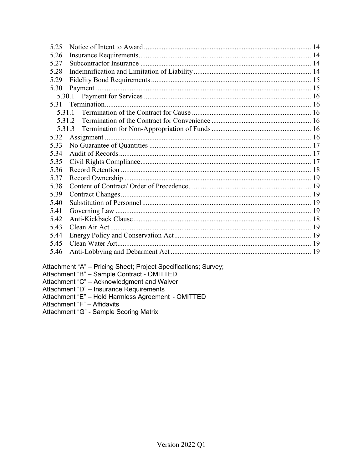| 5.25   |                                                                |  |  |  |
|--------|----------------------------------------------------------------|--|--|--|
| 5.26   |                                                                |  |  |  |
| 5.27   |                                                                |  |  |  |
| 5.28   |                                                                |  |  |  |
| 5.29   |                                                                |  |  |  |
| 5.30   |                                                                |  |  |  |
|        |                                                                |  |  |  |
| 5.31   |                                                                |  |  |  |
| 5.31.1 |                                                                |  |  |  |
|        | 5.31.2                                                         |  |  |  |
|        | 5.31.3                                                         |  |  |  |
| 5.32   |                                                                |  |  |  |
| 5.33   |                                                                |  |  |  |
| 5.34   |                                                                |  |  |  |
| 5.35   |                                                                |  |  |  |
| 5.36   |                                                                |  |  |  |
| 5.37   |                                                                |  |  |  |
| 5.38   |                                                                |  |  |  |
| 5.39   |                                                                |  |  |  |
| 5.40   |                                                                |  |  |  |
| 5.41   |                                                                |  |  |  |
| 5.42   |                                                                |  |  |  |
| 5.43   |                                                                |  |  |  |
| 5.44   |                                                                |  |  |  |
| 5.45   |                                                                |  |  |  |
| 5.46   |                                                                |  |  |  |
|        | ttachment "A" _ Pricing Sheet: Project Specifications: Survey: |  |  |  |

Attachment "A" – Pricing Sheet; Project Specifications; Survey;<br>Attachment "B" – Sample Contract - OMITTED<br>Attachment "C" – Acknowledgment and Waiver<br>Attachment "D" – Insurance Requirements<br>Attachment "E" – Hold Harmless A

Attachment "G" - Sample Scoring Matrix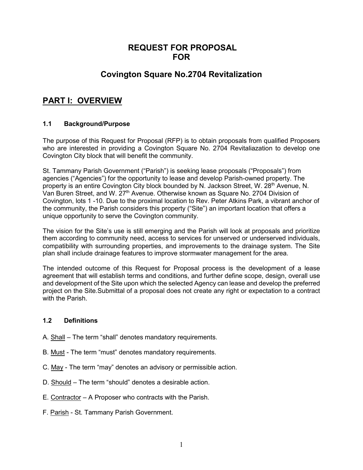### **REQUEST FOR PROPOSAL FOR**

### **Covington Square No.2704 Revitalization**

### <span id="page-5-0"></span>**PART I: OVERVIEW**

#### <span id="page-5-1"></span>**1.1 Background/Purpose**

The purpose of this Request for Proposal (RFP) is to obtain proposals from qualified Proposers who are interested in providing a Covington Square No. 2704 Revitaliazation to develop one Covington City block that will benefit the community.

St. Tammany Parish Government ("Parish") is seeking lease proposals ("Proposals") from agencies ("Agencies") for the opportunity to lease and develop Parish-owned property. The property is an entire Covington City block bounded by N. Jackson Street, W. 28<sup>th</sup> Avenue, N. Van Buren Street, and W. 27<sup>th</sup> Avenue. Otherwise known as Square No. 2704 Division of Covington, lots 1 -10. Due to the proximal location to Rev. Peter Atkins Park, a vibrant anchor of the community, the Parish considers this property ("Site") an important location that offers a unique opportunity to serve the Covington community.

The vision for the Site's use is still emerging and the Parish will look at proposals and prioritize them according to community need, access to services for unserved or underserved individuals, compatibility with surrounding properties, and improvements to the drainage system. The Site plan shall include drainage features to improve stormwater management for the area.

The intended outcome of this Request for Proposal process is the development of a lease agreement that will establish terms and conditions, and further define scope, design, overall use and development of the Site upon which the selected Agency can lease and develop the preferred project on the Site.Submittal of a proposal does not create any right or expectation to a contract with the Parish.

#### <span id="page-5-2"></span>**1.2 Definitions**

- A. Shall The term "shall" denotes mandatory requirements.
- B. Must The term "must" denotes mandatory requirements.
- C. May The term "may" denotes an advisory or permissible action.
- D. Should The term "should" denotes a desirable action.
- E. Contractor A Proposer who contracts with the Parish.
- F. Parish St. Tammany Parish Government.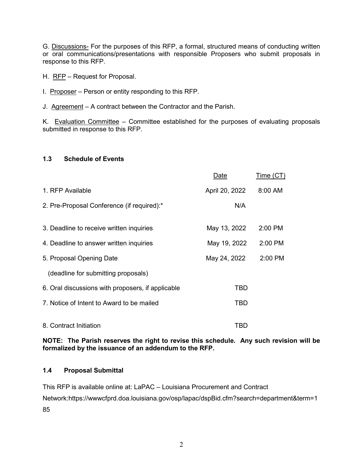G. Discussions- For the purposes of this RFP, a formal, structured means of conducting written or oral communications/presentations with responsible Proposers who submit proposals in response to this RFP.

H. RFP – Request for Proposal.

- I. Proposer Person or entity responding to this RFP.
- J. Agreement A contract between the Contractor and the Parish.

K. Evaluation Committee – Committee established for the purposes of evaluating proposals submitted in response to this RFP.

#### <span id="page-6-0"></span>**1.3 Schedule of Events**

|                                                   | Date           | Time (CT) |
|---------------------------------------------------|----------------|-----------|
| 1. RFP Available                                  | April 20, 2022 | 8:00 AM   |
| 2. Pre-Proposal Conference (if required):*        | N/A            |           |
| 3. Deadline to receive written inquiries          | May 13, 2022   | 2:00 PM   |
| 4. Deadline to answer written inquiries           | May 19, 2022   | 2:00 PM   |
| 5. Proposal Opening Date                          | May 24, 2022   | 2:00 PM   |
| (deadline for submitting proposals)               |                |           |
| 6. Oral discussions with proposers, if applicable | TBD            |           |
| 7. Notice of Intent to Award to be mailed         | TBD            |           |
| 8. Contract Initiation                            | TBD            |           |

**NOTE: The Parish reserves the right to revise this schedule. Any such revision will be formalized by the issuance of an addendum to the RFP.**

#### <span id="page-6-1"></span>**1.4 Proposal Submittal**

This RFP is available online at: LaPAC – Louisiana Procurement and Contract Network[:https://wwwcfprd.doa.louisiana.gov/osp/lapac/dspBid.cfm?search=department&term=1](https://wwwcfprd.doa.louisiana.gov/osp/lapac/dspBid.cfm?search=department&term=185) [85](https://wwwcfprd.doa.louisiana.gov/osp/lapac/dspBid.cfm?search=department&term=185)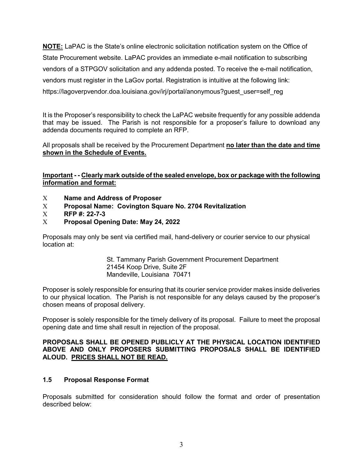**NOTE:** LaPAC is the State's online electronic solicitation notification system on the Office of State Procurement website. LaPAC provides an immediate e-mail notification to subscribing vendors of a STPGOV solicitation and any addenda posted. To receive the e-mail notification, vendors must register in the LaGov portal. Registration is intuitive at the following link: [https://lagoverpvendor.doa.louisiana.gov/irj/portal/anonymous?guest\\_user=self\\_reg](https://lagoverpvendor.doa.louisiana.gov/irj/portal/anonymous?guest_user=self_reg)

It is the Proposer's responsibility to check the LaPAC website frequently for any possible addenda that may be issued. The Parish is not responsible for a proposer's failure to download any addenda documents required to complete an RFP.

All proposals shall be received by the Procurement Department **no later than the date and time shown in the Schedule of Events.**

**Important - - Clearly mark outside of the sealed envelope, box or package with the following information and format:**

- Χ **Name and Address of Proposer**
- Χ **Proposal Name: Covington Square No. 2704 Revitalization**
- Χ **RFP #: 22-7-3**
- Χ **Proposal Opening Date: May 24, 2022**

Proposals may only be sent via certified mail, hand-delivery or courier service to our physical location at:

> St. Tammany Parish Government Procurement Department 21454 Koop Drive, Suite 2F Mandeville, Louisiana 70471

Proposer is solely responsible for ensuring that its courier service provider makes inside deliveries to our physical location. The Parish is not responsible for any delays caused by the proposer's chosen means of proposal delivery.

Proposer is solely responsible for the timely delivery of its proposal. Failure to meet the proposal opening date and time shall result in rejection of the proposal.

#### **PROPOSALS SHALL BE OPENED PUBLICLY AT THE PHYSICAL LOCATION IDENTIFIED ABOVE AND ONLY PROPOSERS SUBMITTING PROPOSALS SHALL BE IDENTIFIED ALOUD. PRICES SHALL NOT BE READ.**

#### <span id="page-7-0"></span>**1.5 Proposal Response Format**

Proposals submitted for consideration should follow the format and order of presentation described below: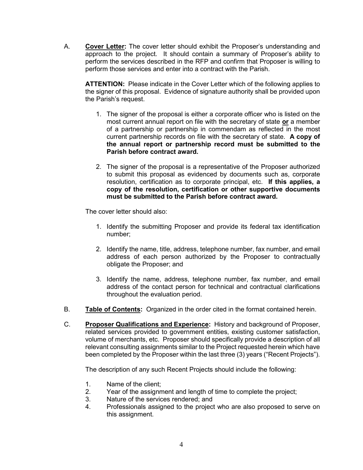A. **Cover Letter:** The cover letter should exhibit the Proposer's understanding and approach to the project. It should contain a summary of Proposer's ability to perform the services described in the RFP and confirm that Proposer is willing to perform those services and enter into a contract with the Parish.

**ATTENTION:** Please indicate in the Cover Letter which of the following applies to the signer of this proposal. Evidence of signature authority shall be provided upon the Parish's request.

- 1. The signer of the proposal is either a corporate officer who is listed on the most current annual report on file with the secretary of state **or** a member of a partnership or partnership in commendam as reflected in the most current partnership records on file with the secretary of state. **A copy of the annual report or partnership record must be submitted to the Parish before contract award.**
- 2. The signer of the proposal is a representative of the Proposer authorized to submit this proposal as evidenced by documents such as, corporate resolution, certification as to corporate principal, etc. **If this applies, a copy of the resolution, certification or other supportive documents must be submitted to the Parish before contract award.**

The cover letter should also:

- 1. Identify the submitting Proposer and provide its federal tax identification number;
- 2. Identify the name, title, address, telephone number, fax number, and email address of each person authorized by the Proposer to contractually obligate the Proposer; and
- 3. Identify the name, address, telephone number, fax number, and email address of the contact person for technical and contractual clarifications throughout the evaluation period.
- B. **Table of Contents:** Organized in the order cited in the format contained herein.
- C. **Proposer Qualifications and Experience:** History and background of Proposer, related services provided to government entities, existing customer satisfaction, volume of merchants, etc. Proposer should specifically provide a description of all relevant consulting assignments similar to the Project requested herein which have been completed by the Proposer within the last three (3) years ("Recent Projects").

The description of any such Recent Projects should include the following:

- 1. Name of the client;
- 2. Year of the assignment and length of time to complete the project;<br>3. Nature of the services rendered: and
- Nature of the services rendered; and
- 4. Professionals assigned to the project who are also proposed to serve on this assignment.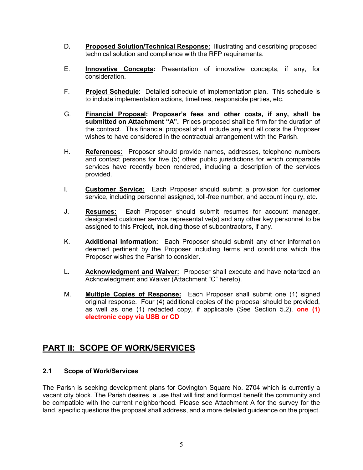- D**. Proposed Solution/Technical Response:** Illustrating and describing proposed technical solution and compliance with the RFP requirements.
- E. **Innovative Concepts:** Presentation of innovative concepts, if any, for consideration.
- F. **Project Schedule:** Detailed schedule of implementation plan. This schedule is to include implementation actions, timelines, responsible parties, etc.
- G. **Financial Proposal: Proposer's fees and other costs, if any, shall be submitted on Attachment "A".** Prices proposed shall be firm for the duration of the contract*.* This financial proposal shall include any and all costs the Proposer wishes to have considered in the contractual arrangement with the Parish.
- H. **References:** Proposer should provide names, addresses, telephone numbers and contact persons for five (5) other public jurisdictions for which comparable services have recently been rendered, including a description of the services provided.
- I. **Customer Service:** Each Proposer should submit a provision for customer service, including personnel assigned, toll-free number, and account inquiry, etc.
- J. **Resumes:** Each Proposer should submit resumes for account manager, designated customer service representative(s) and any other key personnel to be assigned to this Project, including those of subcontractors, if any.
- K. **Additional Information:** Each Proposer should submit any other information deemed pertinent by the Proposer including terms and conditions which the Proposer wishes the Parish to consider.
- L. **Acknowledgment and Waiver:** Proposer shall execute and have notarized an Acknowledgment and Waiver (Attachment "C" hereto).
- M. **Multiple Copies of Response:** Each Proposer shall submit one (1) signed original response. Four (4) additional copies of the proposal should be provided, as well as one (1) redacted copy, if applicable (See Section 5.2), **one (1) electronic copy via USB or CD**

### <span id="page-9-0"></span>**PART II: SCOPE OF WORK/SERVICES**

#### <span id="page-9-1"></span>**2.1 Scope of Work/Services**

The Parish is seeking development plans for Covington Square No. 2704 which is currently a vacant city block. The Parish desires a use that will first and formost benefit the community and be compatible with the current neighborhood. Please see Attachment A for the survey for the land, specific questions the proposal shall address, and a more detailed guideance on the project.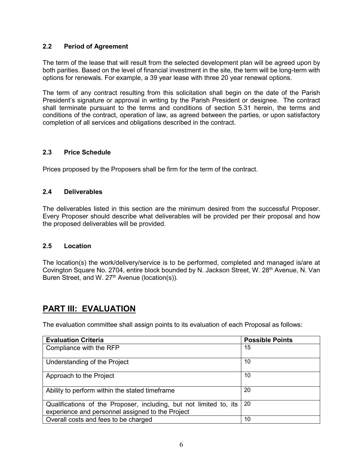#### <span id="page-10-0"></span>**2.2 Period of Agreement**

The term of the lease that will result from the selected development plan will be agreed upon by both parities. Based on the level of financial investment in the site, the term will be long-term with options for renewals. For example, a 39 year lease with three 20 year renewal options.

The term of any contract resulting from this solicitation shall begin on the date of the Parish President's signature or approval in writing by the Parish President or designee. The contract shall terminate pursuant to the terms and conditions of section 5.31 herein, the terms and conditions of the contract, operation of law, as agreed between the parties, or upon satisfactory completion of all services and obligations described in the contract.

#### <span id="page-10-1"></span>**2.3 Price Schedule**

Prices proposed by the Proposers shall be firm for the term of the contract.

#### <span id="page-10-2"></span>**2.4 Deliverables**

The deliverables listed in this section are the minimum desired from the successful Proposer. Every Proposer should describe what deliverables will be provided per their proposal and how the proposed deliverables will be provided.

#### <span id="page-10-3"></span>**2.5 Location**

The location(s) the work/delivery/service is to be performed, completed and managed is/are at Covington Square No. 2704, entire block bounded by N. Jackson Street, W. 28<sup>th</sup> Avenue, N. Van Buren Street, and W. 27<sup>th</sup> Avenue (location(s)).

### <span id="page-10-4"></span>**PART III: EVALUATION**

The evaluation committee shall assign points to its evaluation of each Proposal as follows:

| <b>Evaluation Criteria</b>                                                                                             | <b>Possible Points</b> |
|------------------------------------------------------------------------------------------------------------------------|------------------------|
| Compliance with the RFP                                                                                                | 15                     |
| Understanding of the Project                                                                                           | 10                     |
| Approach to the Project                                                                                                | 10                     |
| Ability to perform within the stated timeframe                                                                         | 20                     |
| Qualifications of the Proposer, including, but not limited to, its<br>experience and personnel assigned to the Project | 20                     |
| Overall costs and fees to be charged                                                                                   | 10                     |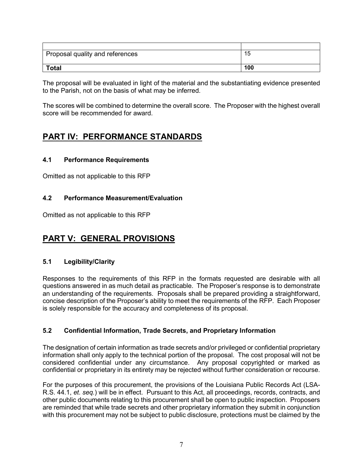| Proposal quality and references | 15  |
|---------------------------------|-----|
|                                 |     |
| <b>Total</b>                    | 100 |

The proposal will be evaluated in light of the material and the substantiating evidence presented to the Parish, not on the basis of what may be inferred.

The scores will be combined to determine the overall score. The Proposer with the highest overall score will be recommended for award.

### <span id="page-11-0"></span>**PART IV: PERFORMANCE STANDARDS**

#### <span id="page-11-1"></span>**4.1 Performance Requirements**

Omitted as not applicable to this RFP

#### <span id="page-11-2"></span>**4.2 Performance Measurement/Evaluation**

Omitted as not applicable to this RFP

### <span id="page-11-3"></span>**PART V: GENERAL PROVISIONS**

#### <span id="page-11-4"></span>**5.1 Legibility/Clarity**

Responses to the requirements of this RFP in the formats requested are desirable with all questions answered in as much detail as practicable. The Proposer's response is to demonstrate an understanding of the requirements. Proposals shall be prepared providing a straightforward, concise description of the Proposer's ability to meet the requirements of the RFP. Each Proposer is solely responsible for the accuracy and completeness of its proposal.

#### <span id="page-11-5"></span>**5.2 Confidential Information, Trade Secrets, and Proprietary Information**

The designation of certain information as trade secrets and/or privileged or confidential proprietary information shall only apply to the technical portion of the proposal. The cost proposal will not be considered confidential under any circumstance. Any proposal copyrighted or marked as confidential or proprietary in its entirety may be rejected without further consideration or recourse.

For the purposes of this procurement, the provisions of the Louisiana Public Records Act (LSA-R.S. 44.1, *et. seq.*) will be in effect. Pursuant to this Act, all proceedings, records, contracts, and other public documents relating to this procurement shall be open to public inspection. Proposers are reminded that while trade secrets and other proprietary information they submit in conjunction with this procurement may not be subject to public disclosure, protections must be claimed by the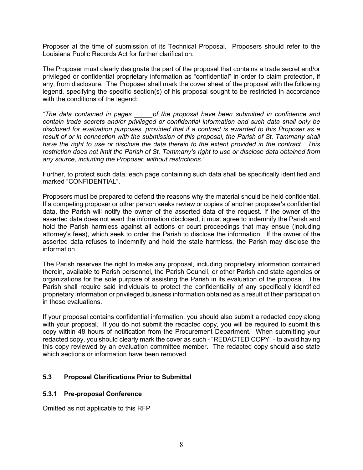Proposer at the time of submission of its Technical Proposal. Proposers should refer to the Louisiana Public Records Act for further clarification.

The Proposer must clearly designate the part of the proposal that contains a trade secret and/or privileged or confidential proprietary information as "confidential" in order to claim protection, if any, from disclosure. The Proposer shall mark the cover sheet of the proposal with the following legend, specifying the specific section(s) of his proposal sought to be restricted in accordance with the conditions of the legend:

*"The data contained in pages \_\_\_\_\_of the proposal have been submitted in confidence and contain trade secrets and/or privileged or confidential information and such data shall only be disclosed for evaluation purposes, provided that if a contract is awarded to this Proposer as a result of or in connection with the submission of this proposal, the Parish of St. Tammany shall have the right to use or disclose the data therein to the extent provided in the contract. This restriction does not limit the Parish of St. Tammany's right to use or disclose data obtained from any source, including the Proposer, without restrictions."*

Further, to protect such data, each page containing such data shall be specifically identified and marked "CONFIDENTIAL".

Proposers must be prepared to defend the reasons why the material should be held confidential. If a competing proposer or other person seeks review or copies of another proposer's confidential data, the Parish will notify the owner of the asserted data of the request. If the owner of the asserted data does not want the information disclosed, it must agree to indemnify the Parish and hold the Parish harmless against all actions or court proceedings that may ensue (including attorney's fees), which seek to order the Parish to disclose the information. If the owner of the asserted data refuses to indemnify and hold the state harmless, the Parish may disclose the information.

The Parish reserves the right to make any proposal, including proprietary information contained therein, available to Parish personnel, the Parish Council, or other Parish and state agencies or organizations for the sole purpose of assisting the Parish in its evaluation of the proposal. The Parish shall require said individuals to protect the confidentiality of any specifically identified proprietary information or privileged business information obtained as a result of their participation in these evaluations.

If your proposal contains confidential information, you should also submit a redacted copy along with your proposal. If you do not submit the redacted copy, you will be required to submit this copy within 48 hours of notification from the Procurement Department. When submitting your redacted copy, you should clearly mark the cover as such - "REDACTED COPY" - to avoid having this copy reviewed by an evaluation committee member. The redacted copy should also state which sections or information have been removed.

#### <span id="page-12-0"></span>**5.3 Proposal Clarifications Prior to Submittal**

#### <span id="page-12-1"></span>**5.3.1 Pre-proposal Conference**

Omitted as not applicable to this RFP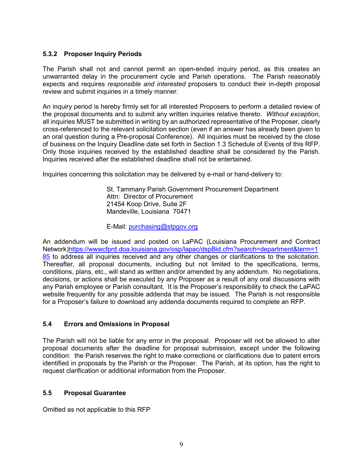#### <span id="page-13-0"></span>**5.3.2 Proposer Inquiry Periods**

The Parish shall not and cannot permit an open-ended inquiry period, as this creates an unwarranted delay in the procurement cycle and Parish operations. The Parish reasonably expects and requires *responsible and interested* proposers to conduct their in-depth proposal review and submit inquiries in a timely manner.

An inquiry period is hereby firmly set for all interested Proposers to perform a detailed review of the proposal documents and to submit any written inquiries relative thereto. *Without exception*, all inquiries MUST be submitted in writing by an authorized representative of the Proposer, clearly cross-referenced to the relevant solicitation section (even if an answer has already been given to an oral question during a Pre-proposal Conference). All inquiries must be received by the close of business on the Inquiry Deadline date set forth in Section 1.3 Schedule of Events of this RFP. Only those inquiries received by the established deadline shall be considered by the Parish. Inquiries received after the established deadline shall not be entertained.

Inquiries concerning this solicitation may be delivered by e-mail or hand-delivery to:

St. Tammany Parish Government Procurement Department Attn: Director of Procurement 21454 Koop Drive, Suite 2F Mandeville, Louisiana 70471

E-Mail: [purchasing@stpgov.org](mailto:purchasing@stpgov.org)

An addendum will be issued and posted on LaPAC (Louisiana Procurement and Contract Network[\)https://wwwcfprd.doa.louisiana.gov/osp/lapac/dspBid.cfm?search=department&term=1](https://wwwcfprd.doa.louisiana.gov/osp/lapac/dspBid.cfm?search=department&term=185) [85](https://wwwcfprd.doa.louisiana.gov/osp/lapac/dspBid.cfm?search=department&term=185) to address all inquiries received and any other changes or clarifications to the solicitation. Thereafter, all proposal documents, including but not limited to the specifications, terms, conditions, plans, etc., will stand as written and/or amended by any addendum. No negotiations, decisions, or actions shall be executed by any Proposer as a result of any oral discussions with any Parish employee or Parish consultant. It is the Proposer's responsibility to check the LaPAC website frequently for any possible addenda that may be issued. The Parish is not responsible for a Proposer's failure to download any addenda documents required to complete an RFP.

#### <span id="page-13-1"></span>**5.4 Errors and Omissions in Proposal**

The Parish will not be liable for any error in the proposal. Proposer will not be allowed to alter proposal documents after the deadline for proposal submission, except under the following condition: the Parish reserves the right to make corrections or clarifications due to patent errors identified in proposals by the Parish or the Proposer. The Parish, at its option, has the right to request clarification or additional information from the Proposer.

#### <span id="page-13-2"></span>**5.5 Proposal Guarantee**

Omitted as not applicable to this RFP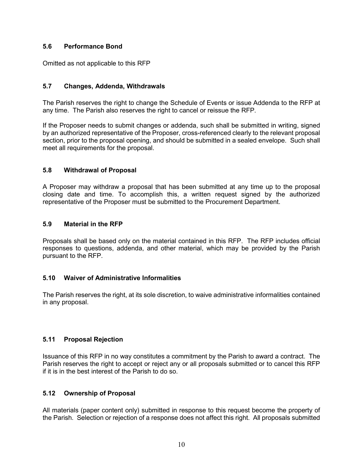#### <span id="page-14-0"></span>**5.6 Performance Bond**

<span id="page-14-1"></span>Omitted as not applicable to this RFP

#### **5.7 Changes, Addenda, Withdrawals**

The Parish reserves the right to change the Schedule of Events or issue Addenda to the RFP at any time. The Parish also reserves the right to cancel or reissue the RFP.

If the Proposer needs to submit changes or addenda, such shall be submitted in writing, signed by an authorized representative of the Proposer, cross-referenced clearly to the relevant proposal section, prior to the proposal opening, and should be submitted in a sealed envelope. Such shall meet all requirements for the proposal.

#### <span id="page-14-2"></span>**5.8 Withdrawal of Proposal**

<span id="page-14-3"></span>A Proposer may withdraw a proposal that has been submitted at any time up to the proposal closing date and time. To accomplish this, a written request signed by the authorized representative of the Proposer must be submitted to the Procurement Department.

#### **5.9 Material in the RFP**

Proposals shall be based only on the material contained in this RFP. The RFP includes official responses to questions, addenda, and other material, which may be provided by the Parish pursuant to the RFP.

#### <span id="page-14-4"></span>**5.10 Waiver of Administrative Informalities**

The Parish reserves the right, at its sole discretion, to waive administrative informalities contained in any proposal.

#### <span id="page-14-5"></span>**5.11 Proposal Rejection**

Issuance of this RFP in no way constitutes a commitment by the Parish to award a contract. The Parish reserves the right to accept or reject any or all proposals submitted or to cancel this RFP if it is in the best interest of the Parish to do so.

#### <span id="page-14-6"></span>**5.12 Ownership of Proposal**

All materials (paper content only) submitted in response to this request become the property of the Parish. Selection or rejection of a response does not affect this right. All proposals submitted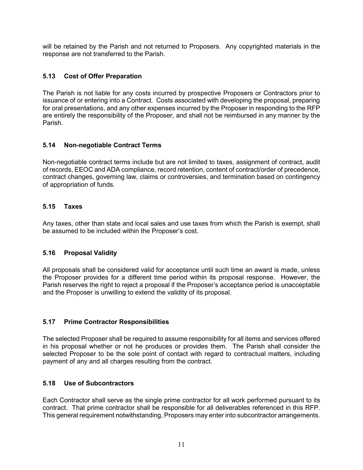will be retained by the Parish and not returned to Proposers. Any copyrighted materials in the response are not transferred to the Parish.

#### <span id="page-15-0"></span>**5.13 Cost of Offer Preparation**

The Parish is not liable for any costs incurred by prospective Proposers or Contractors prior to issuance of or entering into a Contract. Costs associated with developing the proposal, preparing for oral presentations, and any other expenses incurred by the Proposer in responding to the RFP are entirely the responsibility of the Proposer, and shall not be reimbursed in any manner by the Parish.

#### <span id="page-15-1"></span>**5.14 Non-negotiable Contract Terms**

Non-negotiable contract terms include but are not limited to taxes, assignment of contract, audit of records, EEOC and ADA compliance, record retention, content of contract/order of precedence, contract changes, governing law, claims or controversies, and termination based on contingency of appropriation of funds.

#### <span id="page-15-2"></span>**5.15 Taxes**

<span id="page-15-3"></span>Any taxes, other than state and local sales and use taxes from which the Parish is exempt, shall be assumed to be included within the Proposer's cost.

#### **5.16 Proposal Validity**

<span id="page-15-4"></span>All proposals shall be considered valid for acceptance until such time an award is made, unless the Proposer provides for a different time period within its proposal response. However, the Parish reserves the right to reject a proposal if the Proposer's acceptance period is unacceptable and the Proposer is unwilling to extend the validity of its proposal.

#### **5.17 Prime Contractor Responsibilities**

The selected Proposer shall be required to assume responsibility for all items and services offered in his proposal whether or not he produces or provides them. The Parish shall consider the selected Proposer to be the sole point of contact with regard to contractual matters, including payment of any and all charges resulting from the contract.

#### <span id="page-15-5"></span>**5.18 Use of Subcontractors**

Each Contractor shall serve as the single prime contractor for all work performed pursuant to its contract. That prime contractor shall be responsible for all deliverables referenced in this RFP. This general requirement notwithstanding, Proposers may enter into subcontractor arrangements.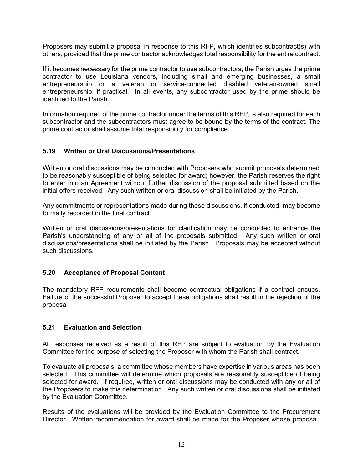Proposers may submit a proposal in response to this RFP, which identifies subcontract(s) with others, provided that the prime contractor acknowledges total responsibility for the entire contract.

If it becomes necessary for the prime contractor to use subcontractors, the Parish urges the prime contractor to use Louisiana vendors, including small and emerging businesses, a small entrepreneurship or a veteran or service-connected disabled veteran-owned small entrepreneurship, if practical. In all events, any subcontractor used by the prime should be identified to the Parish.

<span id="page-16-0"></span>Information required of the prime contractor under the terms of this RFP, is also required for each subcontractor and the subcontractors must agree to be bound by the terms of the contract. The prime contractor shall assume total responsibility for compliance.

#### **5.19 Written or Oral Discussions/Presentations**

Written or oral discussions may be conducted with Proposers who submit proposals determined to be reasonably susceptible of being selected for award; however, the Parish reserves the right to enter into an Agreement without further discussion of the proposal submitted based on the initial offers received. Any such written or oral discussion shall be initiated by the Parish.

Any commitments or representations made during these discussions, if conducted, may become formally recorded in the final contract.

<span id="page-16-1"></span>Written or oral discussions/presentations for clarification may be conducted to enhance the Parish's understanding of any or all of the proposals submitted. Any such written or oral discussions/presentations shall be initiated by the Parish. Proposals may be accepted without such discussions.

#### **5.20 Acceptance of Proposal Content**

<span id="page-16-2"></span>The mandatory RFP requirements shall become contractual obligations if a contract ensues. Failure of the successful Proposer to accept these obligations shall result in the rejection of the proposal

#### **5.21 Evaluation and Selection**

All responses received as a result of this RFP are subject to evaluation by the Evaluation Committee for the purpose of selecting the Proposer with whom the Parish shall contract.

To evaluate all proposals, a committee whose members have expertise in various areas has been selected. This committee will determine which proposals are reasonably susceptible of being selected for award. If required, written or oral discussions may be conducted with any or all of the Proposers to make this determination. Any such written or oral discussions shall be initiated by the Evaluation Committee.

Results of the evaluations will be provided by the Evaluation Committee to the Procurement Director. Written recommendation for award shall be made for the Proposer whose proposal,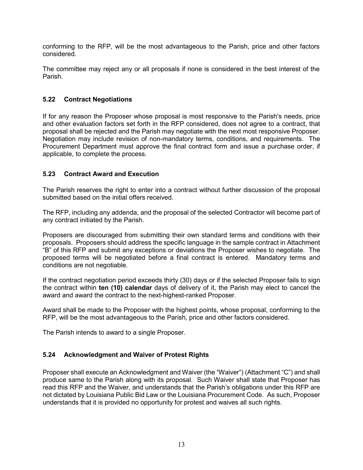conforming to the RFP, will be the most advantageous to the Parish, price and other factors considered.

The committee may reject any or all proposals if none is considered in the best interest of the Parish.

#### <span id="page-17-0"></span>**5.22 Contract Negotiations**

If for any reason the Proposer whose proposal is most responsive to the Parish's needs, price and other evaluation factors set forth in the RFP considered, does not agree to a contract, that proposal shall be rejected and the Parish may negotiate with the next most responsive Proposer. Negotiation may include revision of non-mandatory terms, conditions, and requirements. The Procurement Department must approve the final contract form and issue a purchase order, if applicable, to complete the process.

#### <span id="page-17-1"></span>**5.23 Contract Award and Execution**

The Parish reserves the right to enter into a contract without further discussion of the proposal submitted based on the initial offers received.

The RFP, including any addenda, and the proposal of the selected Contractor will become part of any contract initiated by the Parish.

Proposers are discouraged from submitting their own standard terms and conditions with their proposals. Proposers should address the specific language in the sample contract in Attachment "B" of this RFP and submit any exceptions or deviations the Proposer wishes to negotiate. The proposed terms will be negotiated before a final contract is entered. Mandatory terms and conditions are not negotiable.

If the contract negotiation period exceeds thirty (30) days or if the selected Proposer fails to sign the contract within **ten (10) calendar** days of delivery of it, the Parish may elect to cancel the award and award the contract to the next-highest-ranked Proposer.

Award shall be made to the Proposer with the highest points, whose proposal, conforming to the RFP, will be the most advantageous to the Parish, price and other factors considered.

The Parish intends to award to a single Proposer.

#### <span id="page-17-2"></span>**5.24 Acknowledgment and Waiver of Protest Rights**

Proposer shall execute an Acknowledgment and Waiver (the "Waiver") (Attachment "C") and shall produce same to the Parish along with its proposal. Such Waiver shall state that Proposer has read this RFP and the Waiver, and understands that the Parish's obligations under this RFP are not dictated by Louisiana Public Bid Law or the Louisiana Procurement Code. As such, Proposer understands that it is provided no opportunity for protest and waives all such rights.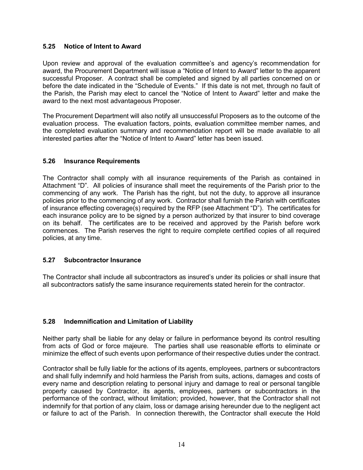#### <span id="page-18-0"></span>**5.25 Notice of Intent to Award**

Upon review and approval of the evaluation committee's and agency's recommendation for award, the Procurement Department will issue a "Notice of Intent to Award" letter to the apparent successful Proposer. A contract shall be completed and signed by all parties concerned on or before the date indicated in the "Schedule of Events." If this date is not met, through no fault of the Parish, the Parish may elect to cancel the "Notice of Intent to Award" letter and make the award to the next most advantageous Proposer.

<span id="page-18-1"></span>The Procurement Department will also notify all unsuccessful Proposers as to the outcome of the evaluation process. The evaluation factors, points, evaluation committee member names, and the completed evaluation summary and recommendation report will be made available to all interested parties after the "Notice of Intent to Award" letter has been issued.

#### **5.26 Insurance Requirements**

The Contractor shall comply with all insurance requirements of the Parish as contained in Attachment "D". All policies of insurance shall meet the requirements of the Parish prior to the commencing of any work. The Parish has the right, but not the duty, to approve all insurance policies prior to the commencing of any work. Contractor shall furnish the Parish with certificates of insurance effecting coverage(s) required by the RFP (see Attachment "D"). The certificates for each insurance policy are to be signed by a person authorized by that insurer to bind coverage on its behalf. The certificates are to be received and approved by the Parish before work commences. The Parish reserves the right to require complete certified copies of all required policies, at any time.

#### <span id="page-18-2"></span>**5.27 Subcontractor Insurance**

The Contractor shall include all subcontractors as insured's under its policies or shall insure that all subcontractors satisfy the same insurance requirements stated herein for the contractor.

#### <span id="page-18-3"></span>**5.28 Indemnification and Limitation of Liability**

Neither party shall be liable for any delay or failure in performance beyond its control resulting from acts of God or force majeure. The parties shall use reasonable efforts to eliminate or minimize the effect of such events upon performance of their respective duties under the contract.

Contractor shall be fully liable for the actions of its agents, employees, partners or subcontractors and shall fully indemnify and hold harmless the Parish from suits, actions, damages and costs of every name and description relating to personal injury and damage to real or personal tangible property caused by Contractor, its agents, employees, partners or subcontractors in the performance of the contract, without limitation; provided, however, that the Contractor shall not indemnify for that portion of any claim, loss or damage arising hereunder due to the negligent act or failure to act of the Parish. In connection therewith, the Contractor shall execute the Hold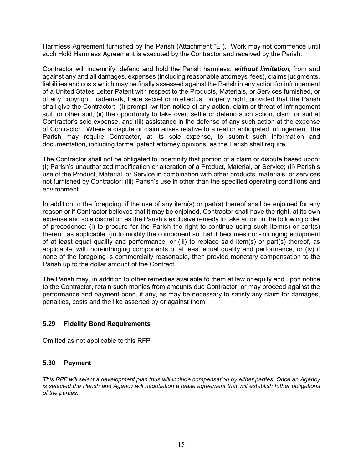Harmless Agreement furnished by the Parish (Attachment "E"). Work may not commence until such Hold Harmless Agreement is executed by the Contractor and received by the Parish.

Contractor will indemnify, defend and hold the Parish harmless, *without limitation,* from and against any and all damages, expenses (including reasonable attorneys' fees), claims judgments, liabilities and costs which may be finally assessed against the Parish in any action for infringement of a United States Letter Patent with respect to the Products, Materials, or Services furnished, or of any copyright, trademark, trade secret or intellectual property right, provided that the Parish shall give the Contractor: (i) prompt written notice of any action, claim or threat of infringement suit, or other suit, (ii) the opportunity to take over, settle or defend such action, claim or suit at Contractor's sole expense, and (iii) assistance in the defense of any such action at the expense of Contractor. Where a dispute or claim arises relative to a real or anticipated infringement, the Parish may require Contractor, at its sole expense, to submit such information and documentation, including formal patent attorney opinions, as the Parish shall require.

The Contractor shall not be obligated to indemnify that portion of a claim or dispute based upon: (i) Parish's unauthorized modification or alteration of a Product, Material, or Service; (ii) Parish's use of the Product, Material, or Service in combination with other products, materials, or services not furnished by Contractor; (iii) Parish's use in other than the specified operating conditions and environment.

In addition to the foregoing, if the use of any item(s) or part(s) thereof shall be enjoined for any reason or if Contractor believes that it may be enjoined, Contractor shall have the right, at its own expense and sole discretion as the Parish's exclusive remedy to take action in the following order of precedence: (i) to procure for the Parish the right to continue using such item(s) or part(s) thereof, as applicable; (ii) to modify the component so that it becomes non-infringing equipment of at least equal quality and performance; or (iii) to replace said item(s) or part(s) thereof, as applicable, with non-infringing components of at least equal quality and performance, or (iv) if none of the foregoing is commercially reasonable, then provide monetary compensation to the Parish up to the dollar amount of the Contract.

The Parish may, in addition to other remedies available to them at law or equity and upon notice to the Contractor, retain such monies from amounts due Contractor, or may proceed against the performance and payment bond, if any, as may be necessary to satisfy any claim for damages, penalties, costs and the like asserted by or against them.

#### <span id="page-19-0"></span>**5.29 Fidelity Bond Requirements**

Omitted as not applicable to this RFP

#### <span id="page-19-1"></span>**5.30 Payment**

*This RPF will select a development plan thus will include compensation by either parties. Once an Agency is selected the Parish and Agency will negotiation a lease agreement that will establish futher obligations of the parties.*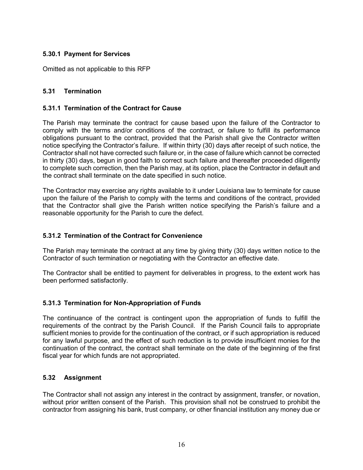#### <span id="page-20-0"></span>**5.30.1 Payment for Services**

Omitted as not applicable to this RFP

#### <span id="page-20-1"></span>**5.31 Termination**

#### <span id="page-20-2"></span>**5.31.1 Termination of the Contract for Cause**

The Parish may terminate the contract for cause based upon the failure of the Contractor to comply with the terms and/or conditions of the contract, or failure to fulfill its performance obligations pursuant to the contract, provided that the Parish shall give the Contractor written notice specifying the Contractor's failure. If within thirty (30) days after receipt of such notice, the Contractor shall not have corrected such failure or, in the case of failure which cannot be corrected in thirty (30) days, begun in good faith to correct such failure and thereafter proceeded diligently to complete such correction, then the Parish may, at its option, place the Contractor in default and the contract shall terminate on the date specified in such notice.

The Contractor may exercise any rights available to it under Louisiana law to terminate for cause upon the failure of the Parish to comply with the terms and conditions of the contract, provided that the Contractor shall give the Parish written notice specifying the Parish's failure and a reasonable opportunity for the Parish to cure the defect.

#### <span id="page-20-3"></span>**5.31.2 Termination of the Contract for Convenience**

The Parish may terminate the contract at any time by giving thirty (30) days written notice to the Contractor of such termination or negotiating with the Contractor an effective date.

The Contractor shall be entitled to payment for deliverables in progress, to the extent work has been performed satisfactorily.

#### <span id="page-20-4"></span>**5.31.3 Termination for Non-Appropriation of Funds**

The continuance of the contract is contingent upon the appropriation of funds to fulfill the requirements of the contract by the Parish Council. If the Parish Council fails to appropriate sufficient monies to provide for the continuation of the contract, or if such appropriation is reduced for any lawful purpose, and the effect of such reduction is to provide insufficient monies for the continuation of the contract, the contract shall terminate on the date of the beginning of the first fiscal year for which funds are not appropriated.

#### <span id="page-20-5"></span>**5.32 Assignment**

The Contractor shall not assign any interest in the contract by assignment, transfer, or novation, without prior written consent of the Parish. This provision shall not be construed to prohibit the contractor from assigning his bank, trust company, or other financial institution any money due or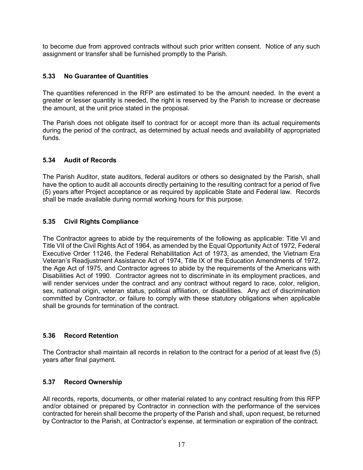to become due from approved contracts without such prior written consent. Notice of any such assignment or transfer shall be furnished promptly to the Parish.

#### <span id="page-21-0"></span>**5.33 No Guarantee of Quantities**

The quantities referenced in the RFP are estimated to be the amount needed. In the event a greater or lesser quantity is needed, the right is reserved by the Parish to increase or decrease the amount, at the unit price stated in the proposal.

The Parish does not obligate itself to contract for or accept more than its actual requirements during the period of the contract, as determined by actual needs and availability of appropriated funds.

#### <span id="page-21-1"></span>**5.34 Audit of Records**

The Parish Auditor, state auditors, federal auditors or others so designated by the Parish, shall have the option to audit all accounts directly pertaining to the resulting contract for a period of five (5) years after Project acceptance or as required by applicable State and Federal law. Records shall be made available during normal working hours for this purpose.

#### <span id="page-21-2"></span>**5.35 Civil Rights Compliance**

The Contractor agrees to abide by the requirements of the following as applicable: Title VI and Title VII of the Civil Rights Act of 1964, as amended by the Equal Opportunity Act of 1972, Federal Executive Order 11246, the Federal Rehabilitation Act of 1973, as amended, the Vietnam Era Veteran's Readjustment Assistance Act of 1974, Title IX of the Education Amendments of 1972, the Age Act of 1975, and Contractor agrees to abide by the requirements of the Americans with Disabilities Act of 1990. Contractor agrees not to discriminate in its employment practices, and will render services under the contract and any contract without regard to race, color, religion, sex, national origin, veteran status, political affiliation, or disabilities. Any act of discrimination committed by Contractor, or failure to comply with these statutory obligations when applicable shall be grounds for termination of the contract.

#### <span id="page-21-3"></span>**5.36 Record Retention**

The Contractor shall maintain all records in relation to the contract for a period of at least five (5) years after final payment.

#### <span id="page-21-4"></span>**5.37 Record Ownership**

All records, reports, documents, or other material related to any contract resulting from this RFP and/or obtained or prepared by Contractor in connection with the performance of the services contracted for herein shall become the property of the Parish and shall, upon request, be returned by Contractor to the Parish, at Contractor's expense, at termination or expiration of the contract.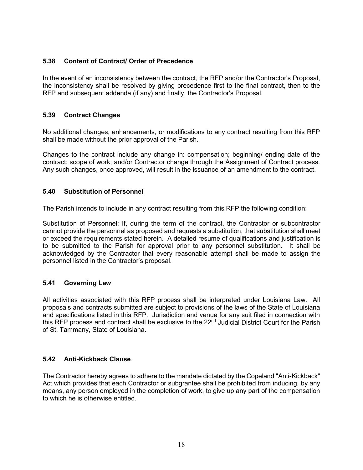#### <span id="page-22-0"></span>**5.38 Content of Contract/ Order of Precedence**

<span id="page-22-1"></span>In the event of an inconsistency between the contract, the RFP and/or the Contractor's Proposal, the inconsistency shall be resolved by giving precedence first to the final contract, then to the RFP and subsequent addenda (if any) and finally, the Contractor's Proposal.

#### **5.39 Contract Changes**

No additional changes, enhancements, or modifications to any contract resulting from this RFP shall be made without the prior approval of the Parish.

<span id="page-22-2"></span>Changes to the contract include any change in: compensation; beginning/ ending date of the contract; scope of work; and/or Contractor change through the Assignment of Contract process. Any such changes, once approved, will result in the issuance of an amendment to the contract.

#### **5.40 Substitution of Personnel**

The Parish intends to include in any contract resulting from this RFP the following condition:

Substitution of Personnel: If, during the term of the contract, the Contractor or subcontractor cannot provide the personnel as proposed and requests a substitution, that substitution shall meet or exceed the requirements stated herein. A detailed resume of qualifications and justification is to be submitted to the Parish for approval prior to any personnel substitution. It shall be acknowledged by the Contractor that every reasonable attempt shall be made to assign the personnel listed in the Contractor's proposal.

#### <span id="page-22-3"></span>**5.41 Governing Law**

All activities associated with this RFP process shall be interpreted under Louisiana Law. All proposals and contracts submitted are subject to provisions of the laws of the State of Louisiana and specifications listed in this RFP. Jurisdiction and venue for any suit filed in connection with this RFP process and contract shall be exclusive to the 22<sup>nd</sup> Judicial District Court for the Parish of St. Tammany, State of Louisiana.

#### <span id="page-22-4"></span>**5.42 Anti-Kickback Clause**

The Contractor hereby agrees to adhere to the mandate dictated by the Copeland "Anti-Kickback" Act which provides that each Contractor or subgrantee shall be prohibited from inducing, by any means, any person employed in the completion of work, to give up any part of the compensation to which he is otherwise entitled.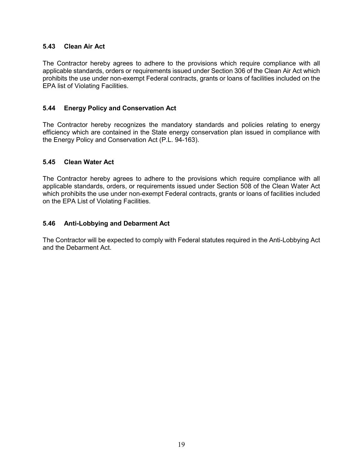#### <span id="page-23-0"></span>**5.43 Clean Air Act**

The Contractor hereby agrees to adhere to the provisions which require compliance with all applicable standards, orders or requirements issued under Section 306 of the Clean Air Act which prohibits the use under non-exempt Federal contracts, grants or loans of facilities included on the EPA list of Violating Facilities.

#### <span id="page-23-1"></span>**5.44 Energy Policy and Conservation Act**

The Contractor hereby recognizes the mandatory standards and policies relating to energy efficiency which are contained in the State energy conservation plan issued in compliance with the Energy Policy and Conservation Act (P.L. 94-163).

#### <span id="page-23-2"></span>**5.45 Clean Water Act**

The Contractor hereby agrees to adhere to the provisions which require compliance with all applicable standards, orders, or requirements issued under Section 508 of the Clean Water Act which prohibits the use under non-exempt Federal contracts, grants or loans of facilities included on the EPA List of Violating Facilities.

#### <span id="page-23-3"></span>**5.46 Anti-Lobbying and Debarment Act**

The Contractor will be expected to comply with Federal statutes required in the Anti-Lobbying Act and the Debarment Act.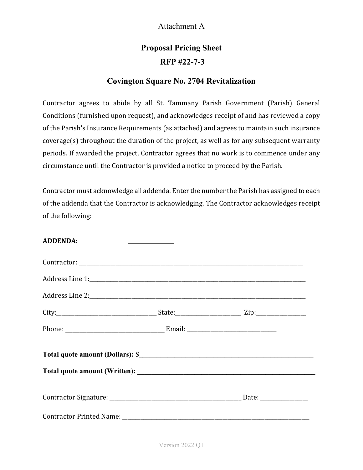### Attachment A

# **Proposal Pricing Sheet RFP #22-7-3**

### **Covington Square No. 2704 Revitalization**

Contractor agrees to abide by all St. Tammany Parish Government (Parish) General Conditions (furnished upon request), and acknowledges receipt of and has reviewed a copy of the Parish's Insurance Requirements (as attached) and agrees to maintain such insurance coverage(s) throughout the duration of the project, as well as for any subsequent warranty periods. If awarded the project, Contractor agrees that no work is to commence under any circumstance until the Contractor is provided a notice to proceed by the Parish.

Contractor must acknowledge all addenda. Enter the number the Parish has assigned to each of the addenda that the Contractor is acknowledging. The Contractor acknowledges receipt of the following:

| <b>ADDENDA:</b>                                                                                                                                                                                                                | the control of the control of the control |  |
|--------------------------------------------------------------------------------------------------------------------------------------------------------------------------------------------------------------------------------|-------------------------------------------|--|
|                                                                                                                                                                                                                                |                                           |  |
| Address Line 1: 2008 and 2008 and 2008 and 2008 and 2008 and 2008 and 2008 and 2008 and 2008 and 2008 and 2008 and 2008 and 2008 and 2008 and 2008 and 2008 and 2008 and 2008 and 2008 and 2008 and 2008 and 2008 and 2008 and |                                           |  |
|                                                                                                                                                                                                                                |                                           |  |
|                                                                                                                                                                                                                                |                                           |  |
|                                                                                                                                                                                                                                |                                           |  |
|                                                                                                                                                                                                                                |                                           |  |
|                                                                                                                                                                                                                                |                                           |  |
|                                                                                                                                                                                                                                |                                           |  |
|                                                                                                                                                                                                                                |                                           |  |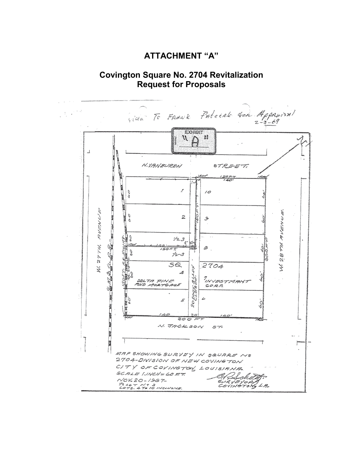### **ATTACHMENT "A"**

**Covington Square No. 2704 Revitalization Request for Proposals**

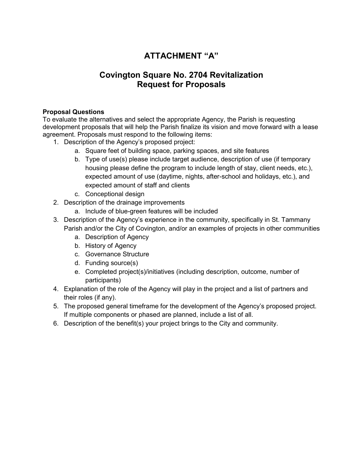## **ATTACHMENT "A"**

### **Covington Square No. 2704 Revitalization Request for Proposals**

#### **Proposal Questions**

To evaluate the alternatives and select the appropriate Agency, the Parish is requesting development proposals that will help the Parish finalize its vision and move forward with a lease agreement. Proposals must respond to the following items:

- 1. Description of the Agency's proposed project:
	- a. Square feet of building space, parking spaces, and site features
	- b. Type of use(s) please include target audience, description of use (if temporary housing please define the program to include length of stay, client needs, etc.), expected amount of use (daytime, nights, after-school and holidays, etc.), and expected amount of staff and clients
	- c. Conceptional design
- 2. Description of the drainage improvements
	- a. Include of blue-green features will be included
- 3. Description of the Agency's experience in the community, specifically in St. Tammany Parish and/or the City of Covington, and/or an examples of projects in other communities
	- a. Description of Agency
	- b. History of Agency
	- c. Governance Structure
	- d. Funding source(s)
	- e. Completed project(s)/initiatives (including description, outcome, number of participants)
- 4. Explanation of the role of the Agency will play in the project and a list of partners and their roles (if any).
- 5. The proposed general timeframe for the development of the Agency's proposed project. If multiple components or phased are planned, include a list of all.
- 6. Description of the benefit(s) your project brings to the City and community.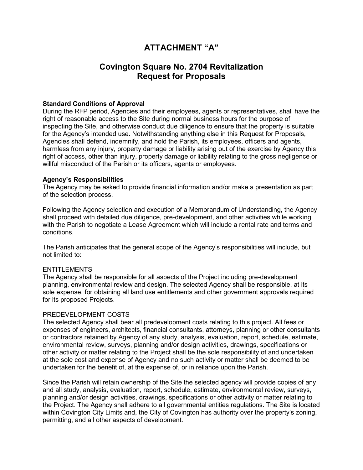### **ATTACHMENT "A"**

### **Covington Square No. 2704 Revitalization Request for Proposals**

#### **Standard Conditions of Approval**

During the RFP period, Agencies and their employees, agents or representatives, shall have the right of reasonable access to the Site during normal business hours for the purpose of inspecting the Site, and otherwise conduct due diligence to ensure that the property is suitable for the Agency's intended use. Notwithstanding anything else in this Request for Proposals, Agencies shall defend, indemnify, and hold the Parish, its employees, officers and agents, harmless from any injury, property damage or liability arising out of the exercise by Agency this right of access, other than injury, property damage or liability relating to the gross negligence or willful misconduct of the Parish or its officers, agents or employees.

#### **Agency's Responsibilities**

The Agency may be asked to provide financial information and/or make a presentation as part of the selection process.

Following the Agency selection and execution of a Memorandum of Understanding, the Agency shall proceed with detailed due diligence, pre-development, and other activities while working with the Parish to negotiate a Lease Agreement which will include a rental rate and terms and conditions.

The Parish anticipates that the general scope of the Agency's responsibilities will include, but not limited to:

#### **ENTITLEMENTS**

The Agency shall be responsible for all aspects of the Project including pre-development planning, environmental review and design. The selected Agency shall be responsible, at its sole expense, for obtaining all land use entitlements and other government approvals required for its proposed Projects.

#### PREDEVELOPMENT COSTS

The selected Agency shall bear all predevelopment costs relating to this project. All fees or expenses of engineers, architects, financial consultants, attorneys, planning or other consultants or contractors retained by Agency of any study, analysis, evaluation, report, schedule, estimate, environmental review, surveys, planning and/or design activities, drawings, specifications or other activity or matter relating to the Project shall be the sole responsibility of and undertaken at the sole cost and expense of Agency and no such activity or matter shall be deemed to be undertaken for the benefit of, at the expense of, or in reliance upon the Parish.

Since the Parish will retain ownership of the Site the selected agency will provide copies of any and all study, analysis, evaluation, report, schedule, estimate, environmental review, surveys, planning and/or design activities, drawings, specifications or other activity or matter relating to the Project. The Agency shall adhere to all governmental entities regulations. The Site is located within Covington City Limits and, the City of Covington has authority over the property's zoning, permitting, and all other aspects of development.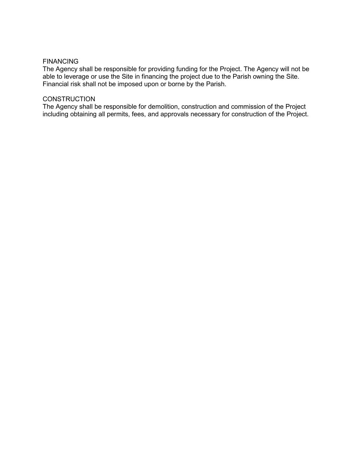#### FINANCING

The Agency shall be responsible for providing funding for the Project. The Agency will not be able to leverage or use the Site in financing the project due to the Parish owning the Site. Financial risk shall not be imposed upon or borne by the Parish.

#### **CONSTRUCTION**

The Agency shall be responsible for demolition, construction and commission of the Project including obtaining all permits, fees, and approvals necessary for construction of the Project.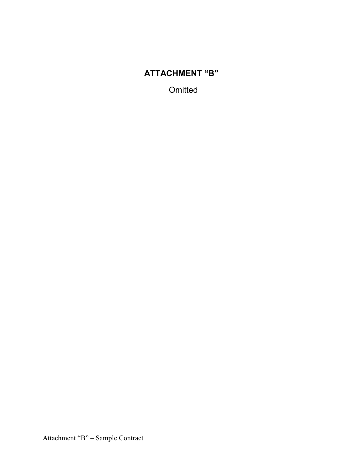# **ATTACHMENT "B"**

**Omitted**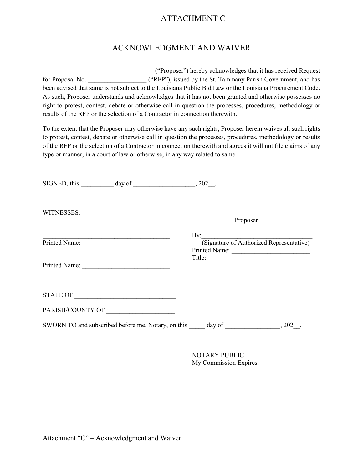### ATTACHMENT C

#### ACKNOWLEDGMENT AND WAIVER

\_\_\_\_\_\_\_\_\_\_\_\_\_\_\_\_\_\_\_\_\_\_\_\_\_\_\_\_\_\_\_\_\_\_ ("Proposer") hereby acknowledges that it has received Request for Proposal No.  $($ "RFP"), issued by the St. Tammany Parish Government, and has been advised that same is not subject to the Louisiana Public Bid Law or the Louisiana Procurement Code. As such, Proposer understands and acknowledges that it has not been granted and otherwise possesses no right to protest, contest, debate or otherwise call in question the processes, procedures, methodology or results of the RFP or the selection of a Contractor in connection therewith.

To the extent that the Proposer may otherwise have any such rights, Proposer herein waives all such rights to protest, contest, debate or otherwise call in question the processes, procedures, methodology or results of the RFP or the selection of a Contractor in connection therewith and agrees it will not file claims of any type or manner, in a court of law or otherwise, in any way related to same.

|               | $SIGNED, this$ day of $\qquad \qquad .202$ .                                                                            |          |                                          |
|---------------|-------------------------------------------------------------------------------------------------------------------------|----------|------------------------------------------|
| WITNESSES:    |                                                                                                                         | Proposer |                                          |
|               | <u> 1989 - Johann Harry Barn, margaret amerikan basal (</u>                                                             |          |                                          |
|               |                                                                                                                         |          | (Signature of Authorized Representative) |
|               | the control of the control of the control of the control of the control of the control of the control of the control of |          |                                          |
| Printed Name: |                                                                                                                         |          |                                          |
|               |                                                                                                                         |          |                                          |
|               |                                                                                                                         |          |                                          |
|               |                                                                                                                         |          |                                          |
|               |                                                                                                                         |          |                                          |
|               |                                                                                                                         |          |                                          |

 $\mathcal{L}_\text{max}$  , and the set of the set of the set of the set of the set of the set of the set of the set of the set of the set of the set of the set of the set of the set of the set of the set of the set of the set of the NOTARY PUBLIC My Commission Expires: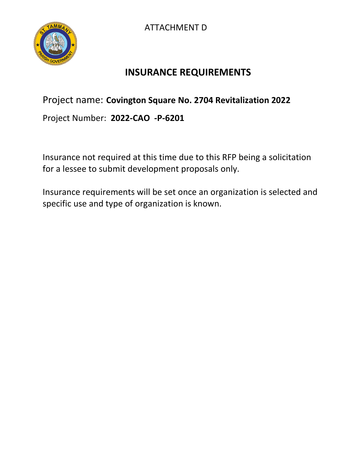



# **INSURANCE REQUIREMENTS**

# Project name: **Covington Square No. 2704 Revitalization 2022**

Project Number: **2022-CAO -P-6201**

Insurance not required at this time due to this RFP being a solicitation for a lessee to submit development proposals only.

Insurance requirements will be set once an organization is selected and specific use and type of organization is known.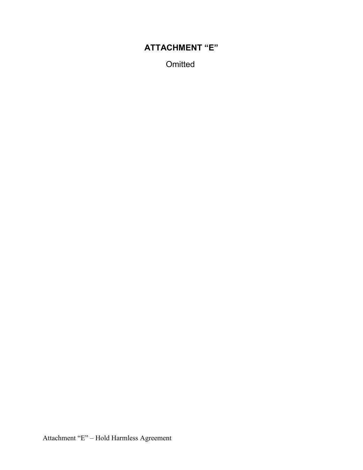# **ATTACHMENT "E"**

**Omitted**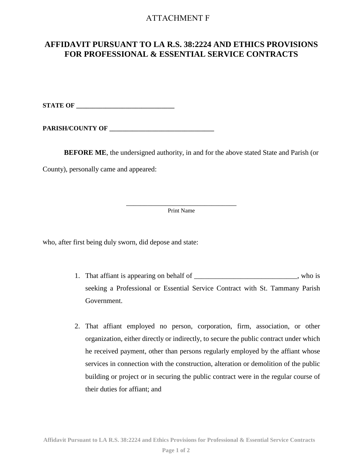#### ATTACHMENT F

### **AFFIDAVIT PURSUANT TO LA R.S. 38:2224 AND ETHICS PROVISIONS FOR PROFESSIONAL & ESSENTIAL SERVICE CONTRACTS**

**STATE OF** 

PARISH/COUNTY OF

**BEFORE ME**, the undersigned authority, in and for the above stated State and Parish (or

County), personally came and appeared:

\_\_\_\_\_\_\_\_\_\_\_\_\_\_\_\_\_\_\_\_\_\_\_\_\_\_\_\_\_\_\_ Print Name

who, after first being duly sworn, did depose and state:

- 1. That affiant is appearing on behalf of \_\_\_\_\_\_\_\_\_\_\_\_\_\_\_\_\_\_\_\_\_\_\_\_\_\_\_, who is seeking a Professional or Essential Service Contract with St. Tammany Parish Government.
- 2. That affiant employed no person, corporation, firm, association, or other organization, either directly or indirectly, to secure the public contract under which he received payment, other than persons regularly employed by the affiant whose services in connection with the construction, alteration or demolition of the public building or project or in securing the public contract were in the regular course of their duties for affiant; and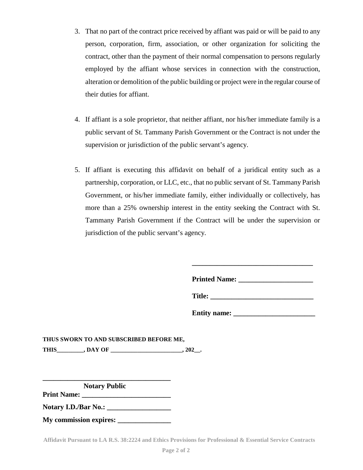- 3. That no part of the contract price received by affiant was paid or will be paid to any person, corporation, firm, association, or other organization for soliciting the contract, other than the payment of their normal compensation to persons regularly employed by the affiant whose services in connection with the construction, alteration or demolition of the public building or project were in the regular course of their duties for affiant.
- 4. If affiant is a sole proprietor, that neither affiant, nor his/her immediate family is a public servant of St. Tammany Parish Government or the Contract is not under the supervision or jurisdiction of the public servant's agency.
- 5. If affiant is executing this affidavit on behalf of a juridical entity such as a partnership, corporation, or LLC, etc., that no public servant of St. Tammany Parish Government, or his/her immediate family, either individually or collectively, has more than a 25% ownership interest in the entity seeking the Contract with St. Tammany Parish Government if the Contract will be under the supervision or jurisdiction of the public servant's agency.

| <b>Printed Name:</b> |  |
|----------------------|--|
| <b>Title:</b>        |  |

**\_\_\_\_\_\_\_\_\_\_\_\_\_\_\_\_\_\_\_\_\_\_\_\_\_\_\_\_\_\_\_\_\_\_** 

| <b>Entity name:</b> |  |
|---------------------|--|
|---------------------|--|

**THUS SWORN TO AND SUBSCRIBED BEFORE ME, THIS\_\_\_\_\_\_\_\_\_, DAY OF \_\_\_\_\_\_\_\_\_\_\_\_\_\_\_\_\_\_\_\_\_\_\_\_, 202\_\_.**

 **Notary Public** 

**\_\_\_\_\_\_\_\_\_\_\_\_\_\_\_\_\_\_\_\_\_\_\_\_\_\_\_\_\_\_\_\_\_\_\_\_** 

**Print Name: \_\_\_\_\_\_\_\_\_\_\_\_\_\_\_\_\_\_\_\_\_\_\_\_\_** 

**Notary I.D./Bar No.: \_\_\_\_\_\_\_\_\_\_\_\_\_\_\_\_\_\_** 

**My commission expires: \_\_\_\_\_\_\_\_\_\_\_\_\_\_\_**

**Affidavit Pursuant to LA R.S. 38:2224 and Ethics Provisions for Professional & Essential Service Contracts**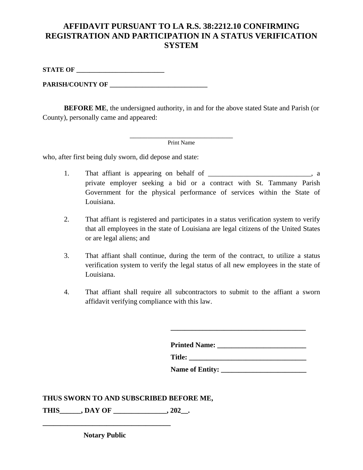### **AFFIDAVIT PURSUANT TO LA R.S. 38:2212.10 CONFIRMING REGISTRATION AND PARTICIPATION IN A STATUS VERIFICATION SYSTEM**

**STATE OF** 

**PARISH/COUNTY OF \_\_\_\_\_\_\_\_\_\_\_\_\_\_\_\_\_\_\_\_\_\_\_\_\_\_\_\_\_\_** 

**BEFORE ME**, the undersigned authority, in and for the above stated State and Parish (or County), personally came and appeared:

\_\_\_\_\_\_\_\_\_\_\_\_\_\_\_\_\_\_\_\_\_\_\_\_\_\_\_\_\_ Print Name

who, after first being duly sworn, did depose and state:

- 1. That affiant is appearing on behalf of \_\_\_\_\_\_\_\_\_\_\_\_\_\_\_\_\_\_\_\_\_\_\_\_\_\_\_\_\_\_\_\_, a private employer seeking a bid or a contract with St. Tammany Parish Government for the physical performance of services within the State of Louisiana.
- 2. That affiant is registered and participates in a status verification system to verify that all employees in the state of Louisiana are legal citizens of the United States or are legal aliens; and
- 3. That affiant shall continue, during the term of the contract, to utilize a status verification system to verify the legal status of all new employees in the state of Louisiana.
- 4. That affiant shall require all subcontractors to submit to the affiant a sworn affidavit verifying compliance with this law.

| <b>Printed Name:</b>   |  |
|------------------------|--|
| Title:                 |  |
| <b>Name of Entity:</b> |  |

**\_\_\_\_\_\_\_\_\_\_\_\_\_\_\_\_\_\_\_\_\_\_\_\_\_\_\_\_\_\_\_\_\_\_\_\_\_\_** 

#### **THUS SWORN TO AND SUBSCRIBED BEFORE ME,**

**THIS\_\_\_\_\_\_, DAY OF \_\_\_\_\_\_\_\_\_\_\_\_\_\_\_, 202\_\_.** 

 **Notary Public**

**\_\_\_\_\_\_\_\_\_\_\_\_\_\_\_\_\_\_\_\_\_\_\_\_\_\_\_\_\_\_\_\_\_\_\_\_**